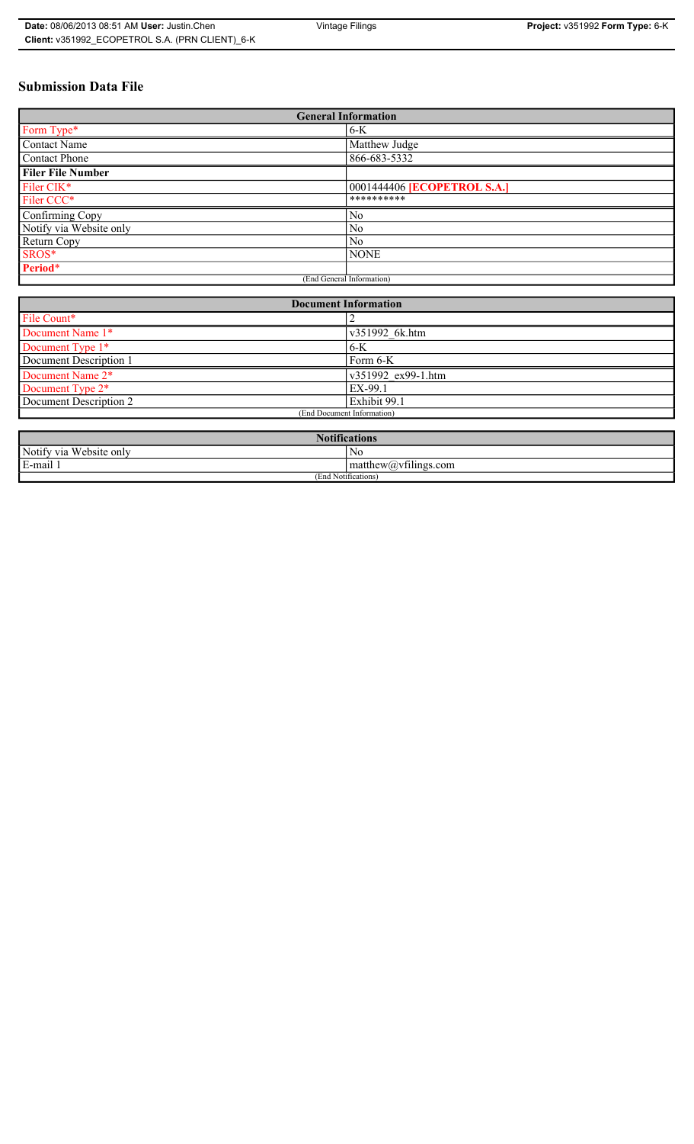## **Submission Data File**

| <b>General Information</b> |                             |  |
|----------------------------|-----------------------------|--|
| Form Type*                 | $6-K$                       |  |
| Contact Name               | Matthew Judge               |  |
| Contact Phone              | 866-683-5332                |  |
| <b>Filer File Number</b>   |                             |  |
| Filer CIK*                 | 0001444406 [ECOPETROL S.A.] |  |
| Filer CCC*                 | **********                  |  |
| Confirming Copy            | No                          |  |
| Notify via Website only    | N <sub>0</sub>              |  |
| Return Copy                | N <sub>0</sub>              |  |
| SROS*                      | <b>NONE</b>                 |  |
| Period*                    |                             |  |
| (End General Information)  |                             |  |

| <b>Document Information</b>  |                    |  |
|------------------------------|--------------------|--|
| File Count*                  |                    |  |
| Document Name 1*             | v351992 6k.htm     |  |
| Document Type 1*             | $6-K$              |  |
| Document Description 1       | Form 6-K           |  |
| Document Name 2 <sup>*</sup> | v351992 ex99-1.htm |  |
| Document Type 2*             | EX-99.1            |  |
| Document Description 2       | Exhibit 99.1       |  |
| (End Document Information)   |                    |  |
|                              |                    |  |

| <b>Notifications</b>         |                         |  |
|------------------------------|-------------------------|--|
| Notify via<br>U Website only | N <sub>0</sub>          |  |
| E-mail 1                     | $\sim$ 1.<br>math>math> |  |
| (End Notifications)          |                         |  |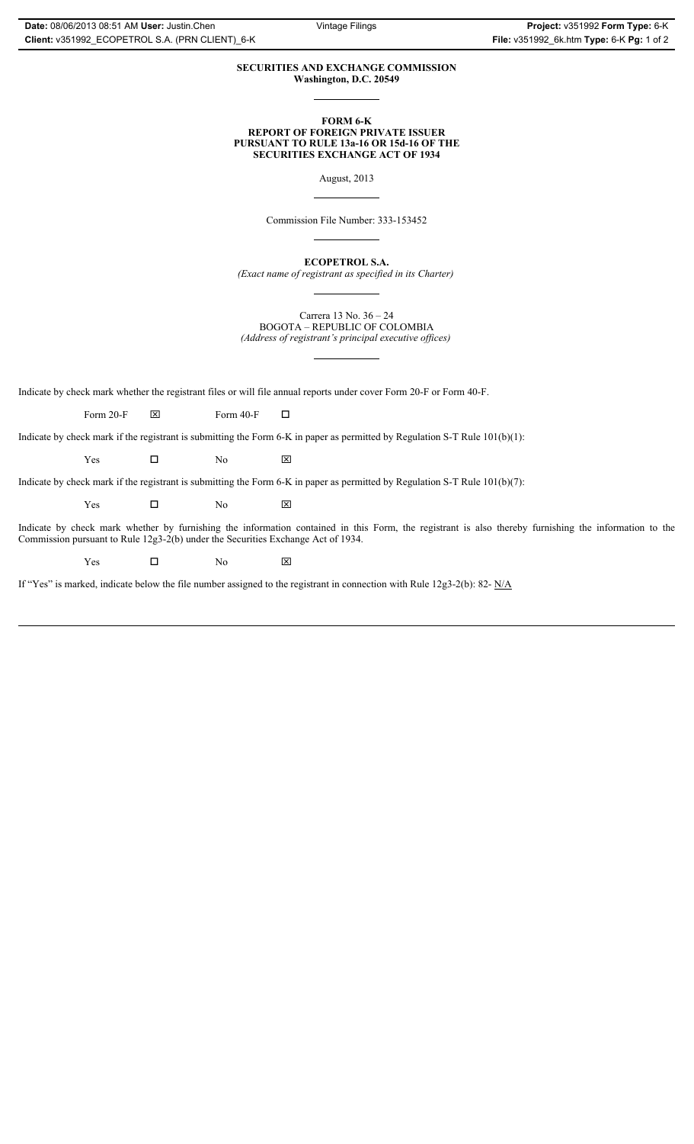## **SECURITIES AND EXCHANGE COMMISSION Washington, D.C. 20549**

**FORM 6-K REPORT OF FOREIGN PRIVATE ISSUER PURSUANT TO RULE 13a-16 OR 15d-16 OF THE SECURITIES EXCHANGE ACT OF 1934**

August, 2013

Commission File Number: 333-153452

**ECOPETROL S.A.**

*(Exact name of registrant as specified in its Charter)*

Carrera 13 No. 36 – 24 BOGOTA – REPUBLIC OF COLOMBIA *(Address of registrant's principal executive offices)*

Indicate by check mark whether the registrant files or will file annual reports under cover Form 20-F or Form 40-F.

Form 20-F  $\boxtimes$  Form 40-F  $\Box$ 

Indicate by check mark if the registrant is submitting the Form 6-K in paper as permitted by Regulation S-T Rule 101(b)(1):

 $Yes$   $\Box$  No  $X$ 

Indicate by check mark if the registrant is submitting the Form 6-K in paper as permitted by Regulation S-T Rule 101(b)(7):

 $Yes$   $\Box$  No  $X$ 

Indicate by check mark whether by furnishing the information contained in this Form, the registrant is also thereby furnishing the information to the Commission pursuant to Rule 12g3-2(b) under the Securities Exchange Act of 1934.

 $Yes$   $\Box$  No  $X$ 

If "Yes" is marked, indicate below the file number assigned to the registrant in connection with Rule 12g3-2(b): 82- N/A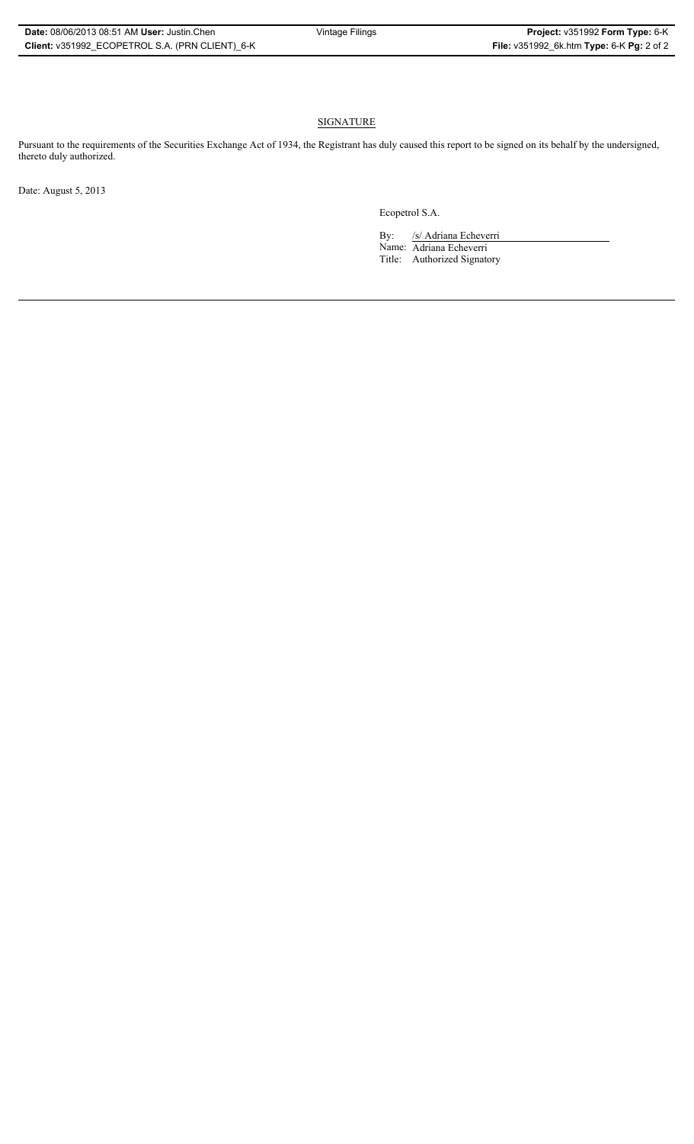## **SIGNATURE**

Pursuant to the requirements of the Securities Exchange Act of 1934, the Registrant has duly caused this report to be signed on its behalf by the undersigned, thereto duly authorized.

Date: August 5, 2013

Ecopetrol S.A.

By: /s/ Adriana Echeverri Name: Adriana Echeverri Title: Authorized Signatory